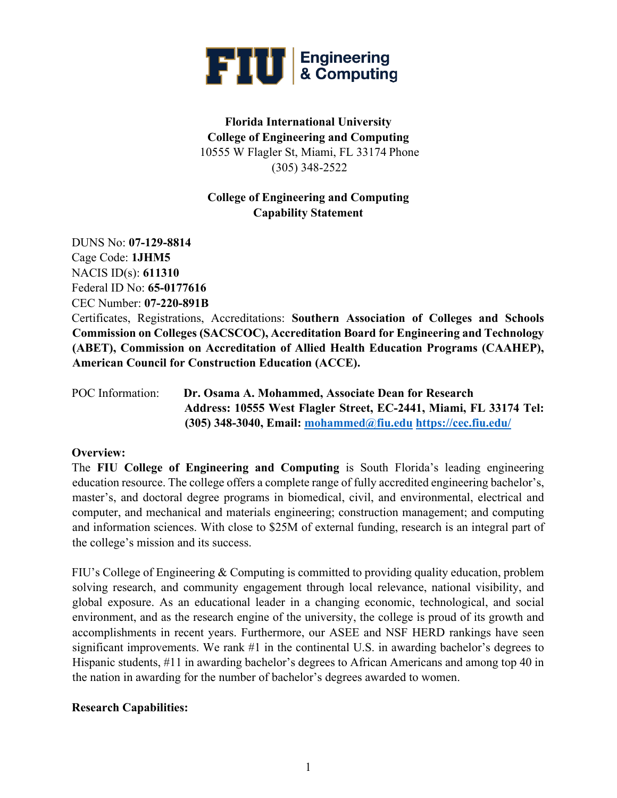

# **Florida International University College of Engineering and Computing** 10555 W Flagler St, Miami, FL 33174 Phone (305) 348-2522

## **College of Engineering and Computing Capability Statement**

DUNS No: **07-129-8814**  Cage Code: **1JHM5**  NACIS ID(s): **611310**  Federal ID No: **65-0177616**  CEC Number: **07-220-891B**  Certificates, Registrations, Accreditations: **Southern Association of Colleges and Schools Commission on Colleges (SACSCOC), Accreditation Board for Engineering and Technology (ABET), Commission on Accreditation of Allied Health Education Programs (CAAHEP), American Council for Construction Education (ACCE).** 

POC Information: **Dr. Osama A. Mohammed, Associate Dean for Research Address: 10555 West Flagler Street, EC-2441, Miami, FL 33174 Tel: (305) 348-3040, Email: mohammed@fiu.edu https://cec.fiu.edu/** 

#### **Overview:**

The **FIU College of Engineering and Computing** is South Florida's leading engineering education resource. The college offers a complete range of fully accredited engineering bachelor's, master's, and doctoral degree programs in biomedical, civil, and environmental, electrical and computer, and mechanical and materials engineering; construction management; and computing and information sciences. With close to \$25M of external funding, research is an integral part of the college's mission and its success.

FIU's College of Engineering & Computing is committed to providing quality education, problem solving research, and community engagement through local relevance, national visibility, and global exposure. As an educational leader in a changing economic, technological, and social environment, and as the research engine of the university, the college is proud of its growth and accomplishments in recent years. Furthermore, our ASEE and NSF HERD rankings have seen significant improvements. We rank #1 in the continental U.S. in awarding bachelor's degrees to Hispanic students, #11 in awarding bachelor's degrees to African Americans and among top 40 in the nation in awarding for the number of bachelor's degrees awarded to women.

#### **Research Capabilities:**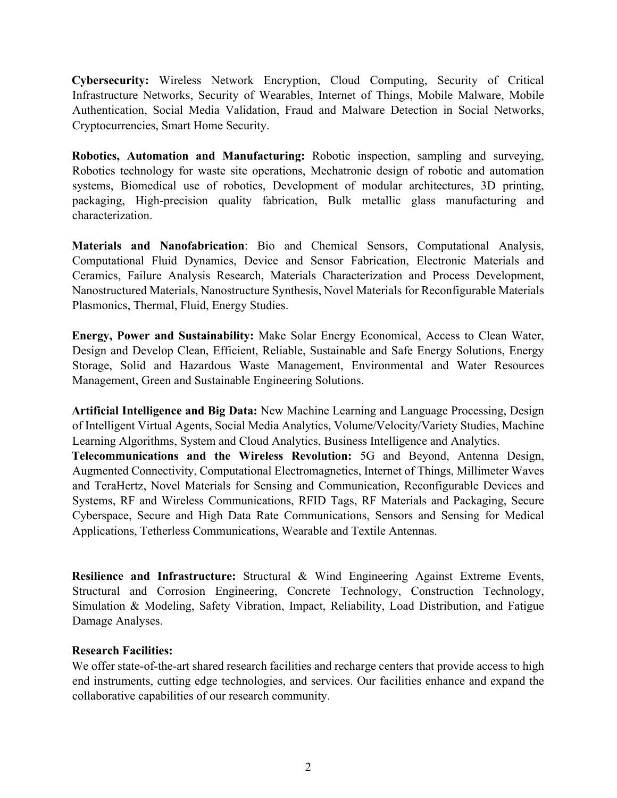**Cybersecurity:** Wireless Network Encryption, Cloud Computing, Security of Critical Infrastructure Networks, Security of Wearables, Internet of Things, Mobile Malware, Mobile Authentication, Social Media Validation, Fraud and Malware Detection in Social Networks, Cryptocurrencies, Smart Home Security.

**Robotics, Automation and Manufacturing:** Robotic inspection, sampling and surveying, Robotics technology for waste site operations, Mechatronic design of robotic and automation systems, Biomedical use of robotics, Development of modular architectures, 3D printing, packaging, High-precision quality fabrication, Bulk metallic glass manufacturing and characterization.

**Materials and Nanofabrication**: Bio and Chemical Sensors, Computational Analysis, Computational Fluid Dynamics, Device and Sensor Fabrication, Electronic Materials and Ceramics, Failure Analysis Research, Materials Characterization and Process Development, Nanostructured Materials, Nanostructure Synthesis, Novel Materials for Reconfigurable Materials Plasmonics, Thermal, Fluid, Energy Studies.

**Energy, Power and Sustainability:** Make Solar Energy Economical, Access to Clean Water, Design and Develop Clean, Efficient, Reliable, Sustainable and Safe Energy Solutions, Energy Storage, Solid and Hazardous Waste Management, Environmental and Water Resources Management, Green and Sustainable Engineering Solutions.

**Artificial Intelligence and Big Data:** New Machine Learning and Language Processing, Design of Intelligent Virtual Agents, Social Media Analytics, Volume/Velocity/Variety Studies, Machine Learning Algorithms, System and Cloud Analytics, Business Intelligence and Analytics.

**Telecommunications and the Wireless Revolution:** 5G and Beyond, Antenna Design, Augmented Connectivity, Computational Electromagnetics, Internet of Things, Millimeter Waves and TeraHertz, Novel Materials for Sensing and Communication, Reconfigurable Devices and Systems, RF and Wireless Communications, RFID Tags, RF Materials and Packaging, Secure Cyberspace, Secure and High Data Rate Communications, Sensors and Sensing for Medical Applications, Tetherless Communications, Wearable and Textile Antennas.

**Resilience and Infrastructure:** Structural & Wind Engineering Against Extreme Events, Structural and Corrosion Engineering, Concrete Technology, Construction Technology, Simulation & Modeling, Safety Vibration, Impact, Reliability, Load Distribution, and Fatigue Damage Analyses.

#### **Research Facilities:**

We offer state-of-the-art shared research facilities and recharge centers that provide access to high end instruments, cutting edge technologies, and services. Our facilities enhance and expand the collaborative capabilities of our research community.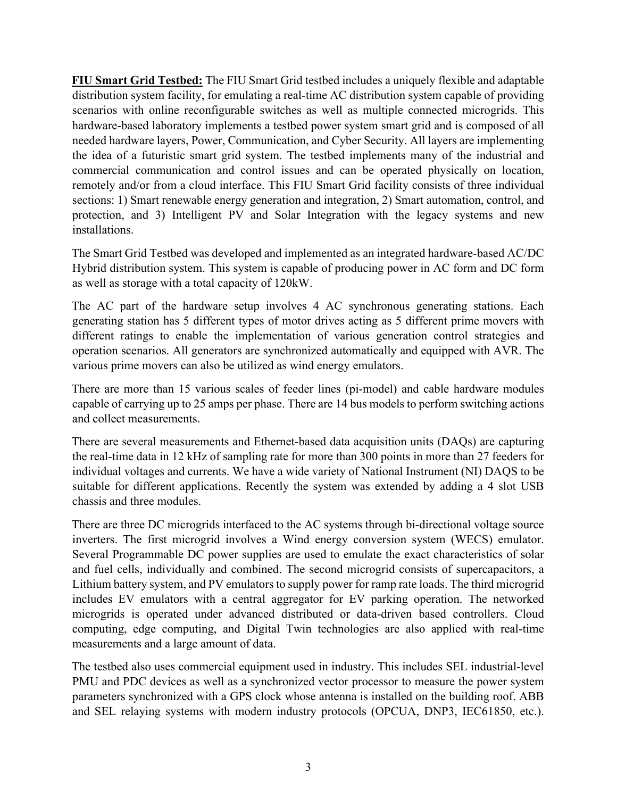**FIU Smart Grid Testbed:** The FIU Smart Grid testbed includes a uniquely flexible and adaptable distribution system facility, for emulating a real-time AC distribution system capable of providing scenarios with online reconfigurable switches as well as multiple connected microgrids. This hardware-based laboratory implements a testbed power system smart grid and is composed of all needed hardware layers, Power, Communication, and Cyber Security. All layers are implementing the idea of a futuristic smart grid system. The testbed implements many of the industrial and commercial communication and control issues and can be operated physically on location, remotely and/or from a cloud interface. This FIU Smart Grid facility consists of three individual sections: 1) Smart renewable energy generation and integration, 2) Smart automation, control, and protection, and 3) Intelligent PV and Solar Integration with the legacy systems and new installations.

The Smart Grid Testbed was developed and implemented as an integrated hardware-based AC/DC Hybrid distribution system. This system is capable of producing power in AC form and DC form as well as storage with a total capacity of 120kW.

The AC part of the hardware setup involves 4 AC synchronous generating stations. Each generating station has 5 different types of motor drives acting as 5 different prime movers with different ratings to enable the implementation of various generation control strategies and operation scenarios. All generators are synchronized automatically and equipped with AVR. The various prime movers can also be utilized as wind energy emulators.

There are more than 15 various scales of feeder lines (pi-model) and cable hardware modules capable of carrying up to 25 amps per phase. There are 14 bus models to perform switching actions and collect measurements.

There are several measurements and Ethernet-based data acquisition units (DAQs) are capturing the real-time data in 12 kHz of sampling rate for more than 300 points in more than 27 feeders for individual voltages and currents. We have a wide variety of National Instrument (NI) DAQS to be suitable for different applications. Recently the system was extended by adding a 4 slot USB chassis and three modules.

There are three DC microgrids interfaced to the AC systems through bi-directional voltage source inverters. The first microgrid involves a Wind energy conversion system (WECS) emulator. Several Programmable DC power supplies are used to emulate the exact characteristics of solar and fuel cells, individually and combined. The second microgrid consists of supercapacitors, a Lithium battery system, and PV emulators to supply power for ramp rate loads. The third microgrid includes EV emulators with a central aggregator for EV parking operation. The networked microgrids is operated under advanced distributed or data-driven based controllers. Cloud computing, edge computing, and Digital Twin technologies are also applied with real-time measurements and a large amount of data.

The testbed also uses commercial equipment used in industry. This includes SEL industrial-level PMU and PDC devices as well as a synchronized vector processor to measure the power system parameters synchronized with a GPS clock whose antenna is installed on the building roof. ABB and SEL relaying systems with modern industry protocols (OPCUA, DNP3, IEC61850, etc.).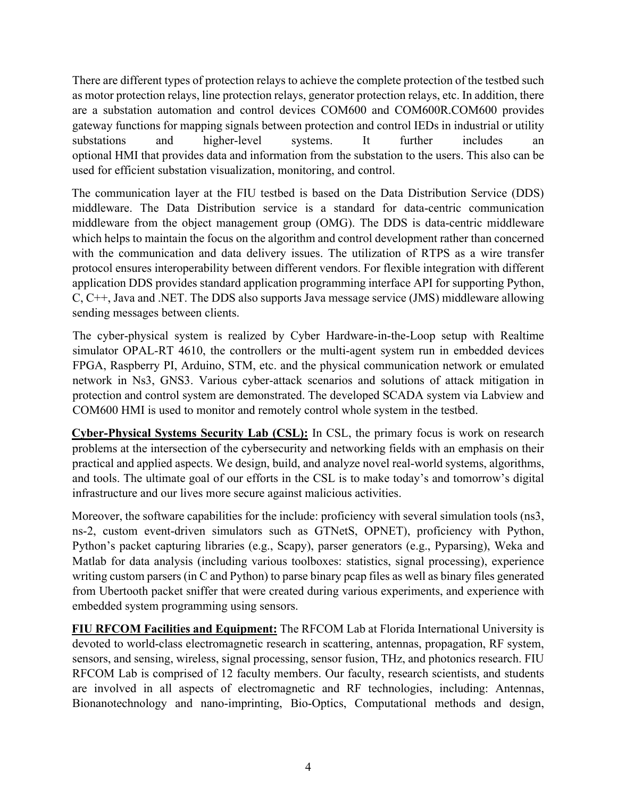There are different types of protection relays to achieve the complete protection of the testbed such as motor protection relays, line protection relays, generator protection relays, etc. In addition, there are a substation automation and control devices COM600 and COM600R.COM600 provides gateway functions for mapping signals between protection and control IEDs in industrial or utility substations and higher-level systems. It further includes an optional HMI that provides data and information from the substation to the users. This also can be used for efficient substation visualization, monitoring, and control.

The communication layer at the FIU testbed is based on the Data Distribution Service (DDS) middleware. The Data Distribution service is a standard for data-centric communication middleware from the object management group (OMG). The DDS is data-centric middleware which helps to maintain the focus on the algorithm and control development rather than concerned with the communication and data delivery issues. The utilization of RTPS as a wire transfer protocol ensures interoperability between different vendors. For flexible integration with different application DDS provides standard application programming interface API for supporting Python, C, C++, Java and .NET. The DDS also supports Java message service (JMS) middleware allowing sending messages between clients.

The cyber-physical system is realized by Cyber Hardware-in-the-Loop setup with Realtime simulator OPAL-RT 4610, the controllers or the multi-agent system run in embedded devices FPGA, Raspberry PI, Arduino, STM, etc. and the physical communication network or emulated network in Ns3, GNS3. Various cyber-attack scenarios and solutions of attack mitigation in protection and control system are demonstrated. The developed SCADA system via Labview and COM600 HMI is used to monitor and remotely control whole system in the testbed.

**Cyber-Physical Systems Security Lab (CSL):** In CSL, the primary focus is work on research problems at the intersection of the cybersecurity and networking fields with an emphasis on their practical and applied aspects. We design, build, and analyze novel real-world systems, algorithms, and tools. The ultimate goal of our efforts in the CSL is to make today's and tomorrow's digital infrastructure and our lives more secure against malicious activities.

Moreover, the software capabilities for the include: proficiency with several simulation tools (ns3, ns-2, custom event-driven simulators such as GTNetS, OPNET), proficiency with Python, Python's packet capturing libraries (e.g., Scapy), parser generators (e.g., Pyparsing), Weka and Matlab for data analysis (including various toolboxes: statistics, signal processing), experience writing custom parsers (in C and Python) to parse binary pcap files as well as binary files generated from Ubertooth packet sniffer that were created during various experiments, and experience with embedded system programming using sensors.

**FIU RFCOM Facilities and Equipment:** The RFCOM Lab at Florida International University is devoted to world-class electromagnetic research in scattering, antennas, propagation, RF system, sensors, and sensing, wireless, signal processing, sensor fusion, THz, and photonics research. FIU RFCOM Lab is comprised of 12 faculty members. Our faculty, research scientists, and students are involved in all aspects of electromagnetic and RF technologies, including: Antennas, Bionanotechnology and nano-imprinting, Bio-Optics, Computational methods and design,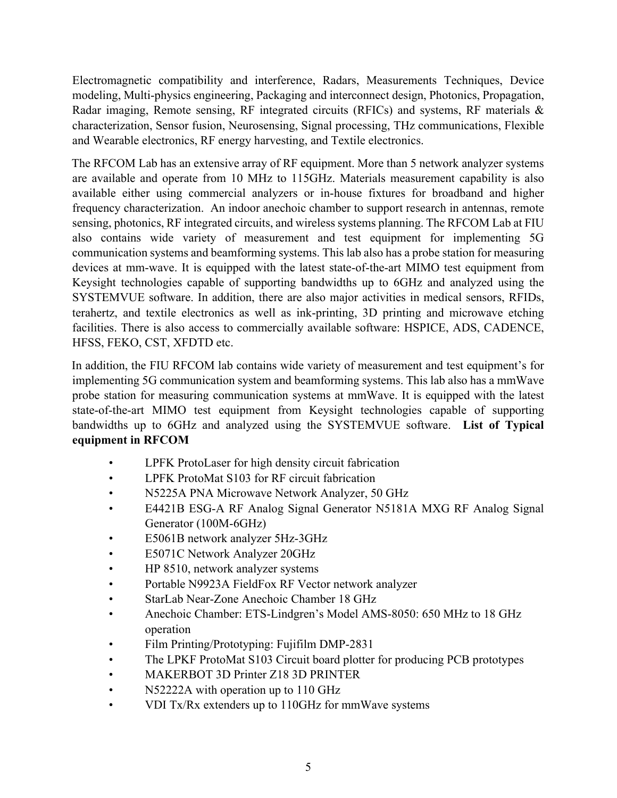Electromagnetic compatibility and interference, Radars, Measurements Techniques, Device modeling, Multi-physics engineering, Packaging and interconnect design, Photonics, Propagation, Radar imaging, Remote sensing, RF integrated circuits (RFICs) and systems, RF materials & characterization, Sensor fusion, Neurosensing, Signal processing, THz communications, Flexible and Wearable electronics, RF energy harvesting, and Textile electronics.

The RFCOM Lab has an extensive array of RF equipment. More than 5 network analyzer systems are available and operate from 10 MHz to 115GHz. Materials measurement capability is also available either using commercial analyzers or in-house fixtures for broadband and higher frequency characterization. An indoor anechoic chamber to support research in antennas, remote sensing, photonics, RF integrated circuits, and wireless systems planning. The RFCOM Lab at FIU also contains wide variety of measurement and test equipment for implementing 5G communication systems and beamforming systems. This lab also has a probe station for measuring devices at mm-wave. It is equipped with the latest state-of-the-art MIMO test equipment from Keysight technologies capable of supporting bandwidths up to 6GHz and analyzed using the SYSTEMVUE software. In addition, there are also major activities in medical sensors, RFIDs, terahertz, and textile electronics as well as ink-printing, 3D printing and microwave etching facilities. There is also access to commercially available software: HSPICE, ADS, CADENCE, HFSS, FEKO, CST, XFDTD etc.

In addition, the FIU RFCOM lab contains wide variety of measurement and test equipment's for implementing 5G communication system and beamforming systems. This lab also has a mmWave probe station for measuring communication systems at mmWave. It is equipped with the latest state-of-the-art MIMO test equipment from Keysight technologies capable of supporting bandwidths up to 6GHz and analyzed using the SYSTEMVUE software. **List of Typical equipment in RFCOM** 

- LPFK ProtoLaser for high density circuit fabrication
- LPFK ProtoMat S103 for RF circuit fabrication
- N5225A PNA Microwave Network Analyzer, 50 GHz
- E4421B ESG-A RF Analog Signal Generator N5181A MXG RF Analog Signal Generator (100M-6GHz)
- E5061B network analyzer 5Hz-3GHz
- E5071C Network Analyzer 20GHz
- HP 8510, network analyzer systems
- Portable N9923A FieldFox RF Vector network analyzer
- StarLab Near-Zone Anechoic Chamber 18 GHz
- Anechoic Chamber: ETS-Lindgren's Model AMS-8050: 650 MHz to 18 GHz operation
- Film Printing/Prototyping: Fujifilm DMP-2831
- The LPKF ProtoMat S103 Circuit board plotter for producing PCB prototypes
- MAKERBOT 3D Printer Z18 3D PRINTER
- N52222A with operation up to 110 GHz
- VDI Tx/Rx extenders up to 110GHz for mmWave systems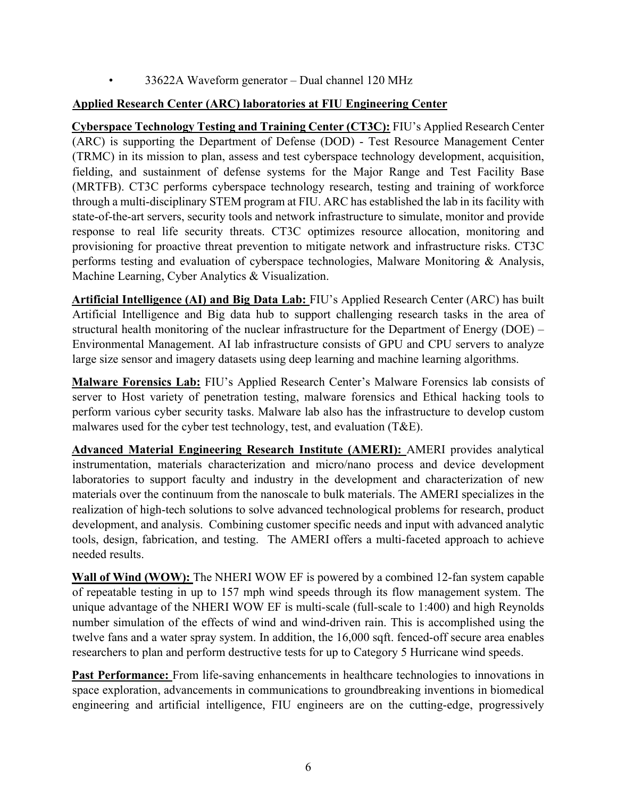• 33622A Waveform generator – Dual channel 120 MHz

### **Applied Research Center (ARC) laboratories at FIU Engineering Center**

**Cyberspace Technology Testing and Training Center (CT3C):** FIU's Applied Research Center (ARC) is supporting the Department of Defense (DOD) - Test Resource Management Center (TRMC) in its mission to plan, assess and test cyberspace technology development, acquisition, fielding, and sustainment of defense systems for the Major Range and Test Facility Base (MRTFB). CT3C performs cyberspace technology research, testing and training of workforce through a multi-disciplinary STEM program at FIU. ARC has established the lab in its facility with state-of-the-art servers, security tools and network infrastructure to simulate, monitor and provide response to real life security threats. CT3C optimizes resource allocation, monitoring and provisioning for proactive threat prevention to mitigate network and infrastructure risks. CT3C performs testing and evaluation of cyberspace technologies, Malware Monitoring & Analysis, Machine Learning, Cyber Analytics & Visualization.

**Artificial Intelligence (AI) and Big Data Lab:** FIU's Applied Research Center (ARC) has built Artificial Intelligence and Big data hub to support challenging research tasks in the area of structural health monitoring of the nuclear infrastructure for the Department of Energy (DOE) – Environmental Management. AI lab infrastructure consists of GPU and CPU servers to analyze large size sensor and imagery datasets using deep learning and machine learning algorithms.

**Malware Forensics Lab:** FIU's Applied Research Center's Malware Forensics lab consists of server to Host variety of penetration testing, malware forensics and Ethical hacking tools to perform various cyber security tasks. Malware lab also has the infrastructure to develop custom malwares used for the cyber test technology, test, and evaluation (T&E).

**Advanced Material Engineering Research Institute (AMERI):** AMERI provides analytical instrumentation, materials characterization and micro/nano process and device development laboratories to support faculty and industry in the development and characterization of new materials over the continuum from the nanoscale to bulk materials. The AMERI specializes in the realization of high-tech solutions to solve advanced technological problems for research, product development, and analysis. Combining customer specific needs and input with advanced analytic tools, design, fabrication, and testing. The AMERI offers a multi-faceted approach to achieve needed results.

**Wall of Wind (WOW):** The NHERI WOW EF is powered by a combined 12-fan system capable of repeatable testing in up to 157 mph wind speeds through its flow management system. The unique advantage of the NHERI WOW EF is multi-scale (full-scale to 1:400) and high Reynolds number simulation of the effects of wind and wind-driven rain. This is accomplished using the twelve fans and a water spray system. In addition, the 16,000 sqft. fenced-off secure area enables researchers to plan and perform destructive tests for up to Category 5 Hurricane wind speeds.

Past Performance: From life-saving enhancements in healthcare technologies to innovations in space exploration, advancements in communications to groundbreaking inventions in biomedical engineering and artificial intelligence, FIU engineers are on the cutting-edge, progressively